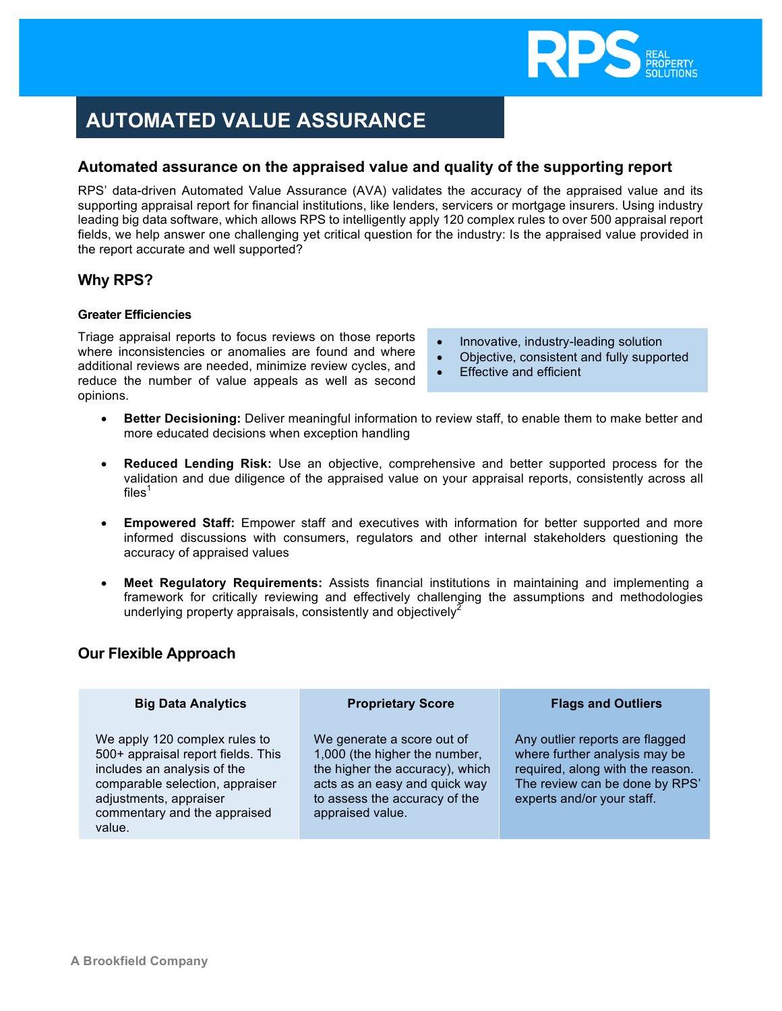

# **AUTOMATED VALUE ASSURANCE**

## **Automated assurance on the appraised value and quality of the supporting report**

RPS' data-driven Automated Value Assurance (AVA) validates the accuracy of the appraised value and its supporting appraisal report for financial institutions, like lenders, servicers or mortgage insurers. Using industry leading big data software, which allows RPS to intelligently apply 120 complex rules to over 500 appraisal report fields, we help answer one challenging yet critical question for the industry: Is the appraised value provided in the report accurate and well supported?

## **Why RPS?**

#### **Greater Efficiencies**

**Services** 

Triage appraisal reports to focus reviews on those reports where inconsistencies or anomalies are found and where additional reviews are needed, minimize review cycles, and reduce the number of value appeals as well as second opinions.

- Innovative, industry-leading solution
- Objective, consistent and fully supported
- Effective and efficient
- **Better Decisioning:** Deliver meaningful information to review staff, to enable them to make better and more educated decisions when exception handling
- **Reduced Lending Risk:** Use an objective, comprehensive and better supported process for the validation and due diligence of the appraised value on your appraisal reports, consistently across all files $^{\rm 1}$
- **Empowered Staff:** Empower staff and executives with information for better supported and more informed discussions with consumers, regulators and other internal stakeholders questioning the accuracy of appraised values
- **Meet Regulatory Requirements:** Assists financial institutions in maintaining and implementing a framework for critically reviewing and effectively challenging the assumptions and methodologies underlying property appraisals, consistently and objectively<sup>2</sup>

## **Our Flexible Approach**

| <b>Big Data Analytics</b>                                                                                                                                                                                 | <b>Proprietary Score</b>                                                                                                                                                             | <b>Flags and Outliers</b>                                                                                                                                            |
|-----------------------------------------------------------------------------------------------------------------------------------------------------------------------------------------------------------|--------------------------------------------------------------------------------------------------------------------------------------------------------------------------------------|----------------------------------------------------------------------------------------------------------------------------------------------------------------------|
| We apply 120 complex rules to<br>500+ appraisal report fields. This<br>includes an analysis of the<br>comparable selection, appraiser<br>adjustments, appraiser<br>commentary and the appraised<br>value. | We generate a score out of<br>1,000 (the higher the number,<br>the higher the accuracy), which<br>acts as an easy and quick way<br>to assess the accuracy of the<br>appraised value. | Any outlier reports are flagged<br>where further analysis may be<br>required, along with the reason.<br>The review can be done by RPS'<br>experts and/or your staff. |